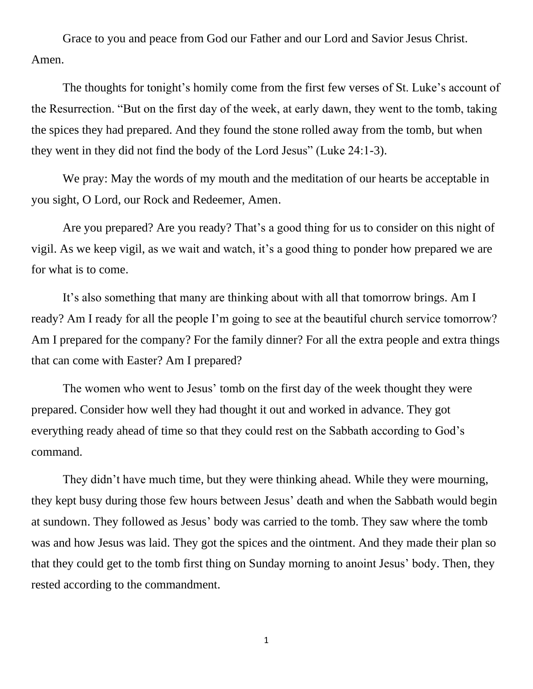Grace to you and peace from God our Father and our Lord and Savior Jesus Christ. Amen.

The thoughts for tonight's homily come from the first few verses of St. Luke's account of the Resurrection. "But on the first day of the week, at early dawn, they went to the tomb, taking the spices they had prepared. And they found the stone rolled away from the tomb, but when they went in they did not find the body of the Lord Jesus" (Luke 24:1-3).

We pray: May the words of my mouth and the meditation of our hearts be acceptable in you sight, O Lord, our Rock and Redeemer, Amen.

Are you prepared? Are you ready? That's a good thing for us to consider on this night of vigil. As we keep vigil, as we wait and watch, it's a good thing to ponder how prepared we are for what is to come.

It's also something that many are thinking about with all that tomorrow brings. Am I ready? Am I ready for all the people I'm going to see at the beautiful church service tomorrow? Am I prepared for the company? For the family dinner? For all the extra people and extra things that can come with Easter? Am I prepared?

The women who went to Jesus' tomb on the first day of the week thought they were prepared. Consider how well they had thought it out and worked in advance. They got everything ready ahead of time so that they could rest on the Sabbath according to God's command.

They didn't have much time, but they were thinking ahead. While they were mourning, they kept busy during those few hours between Jesus' death and when the Sabbath would begin at sundown. They followed as Jesus' body was carried to the tomb. They saw where the tomb was and how Jesus was laid. They got the spices and the ointment. And they made their plan so that they could get to the tomb first thing on Sunday morning to anoint Jesus' body. Then, they rested according to the commandment.

1